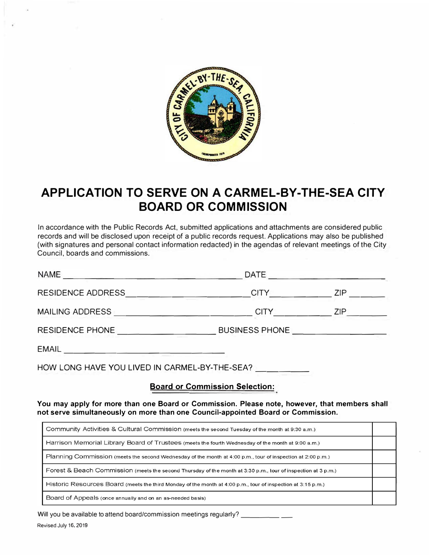

# **APPLICATION TO SERVE ON A CARMEL-BY-THE-SEA CITY BOARD OR COMMISSION**

In accordance with the Public Records Act, submitted applications and attachments are considered public records and will be disclosed upon receipt of a public records request. Applications may also be published (with signatures and personal contact information redacted) in the agendas of relevant meetings of the City Council, boards and commissions.

| <b>NAME</b><br><b>A BOOK COMPANY OF MAILBOARD COMPANY</b> | DATE                  |            |
|-----------------------------------------------------------|-----------------------|------------|
| <b>RESIDENCE ADDRESS</b>                                  | <b>CITY</b>           | <b>ZIP</b> |
| <b>MAILING ADDRESS</b>                                    | <b>CITY</b>           | ZIP.       |
| RESIDENCE PHONE                                           | <b>BUSINESS PHONE</b> |            |
| <b>EMAIL</b>                                              |                       |            |

HOW LONG HAVE YOU LIVED IN CARMEL-BY-THE-SEA?

# **Board or Commission Selection:**

**You may apply for more than one Board or Commission. Please note, however, that members shall not serve simultaneously on more than one Council-appointed Board or Commission.** 

| Community Activities & Cultural Commission (meets the second Tuesday of the month at 9:30 a.m.)               |  |
|---------------------------------------------------------------------------------------------------------------|--|
| Harrison Memorial Library Board of Trustees (meets the fourth Wednesday of the month at 9:00 a.m.)            |  |
| Planning Commission (meets the second Wednesday of the month at 4:00 p.m., tour of inspection at 2:00 p.m.)   |  |
| Forest & Beach Commission (meets the second Thursday of the month at 3:30 p.m., tour of inspection at 3 p.m.) |  |
| Historic Resources Board (meets the third Monday of the month at 4:00 p.m., tour of inspection at 3:15 p.m.)  |  |
| Board of Appeals (once annually and on an as-needed basis)                                                    |  |

Will you be available to attend board/commission meetings regularly?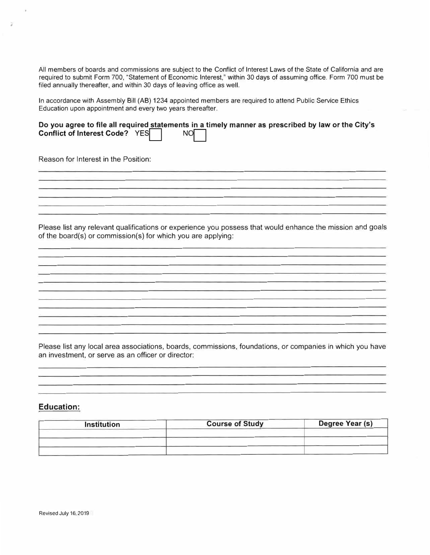All members of boards and commissions are subject to the Conflict of Interest Laws of the State of California and are required to submit Form 700, "Statement of Economic Interest," within 30 days of assuming office. Form 700 must be filed annually thereafter, and within 30 days of leaving office as well.

In accordance with Assembly Bill (AB) 1234 appointed members are required to attend Public Service Ethics Education upon appointment and every two years thereafter.

|                                |           | Do you agree to file all required statements in a timely manner as prescribed by law or the City's |
|--------------------------------|-----------|----------------------------------------------------------------------------------------------------|
| Conflict of Interest Code? YES | <b>NO</b> |                                                                                                    |

Reason for Interest in the Position:

 $\overline{a}$ 

Please list any relevant qualifications or experience you possess that would enhance the mission and goals of the board(s) or commission(s) for which you are applying:

Please list any local area associations, boards, commissions, foundations, or companies in which you have an investment, or serve as an officer or director:

#### **Education:**

| <b>Institution</b> | <b>Course of Study</b> | Degree Year (s) |
|--------------------|------------------------|-----------------|
|                    |                        |                 |
|                    |                        |                 |
|                    |                        |                 |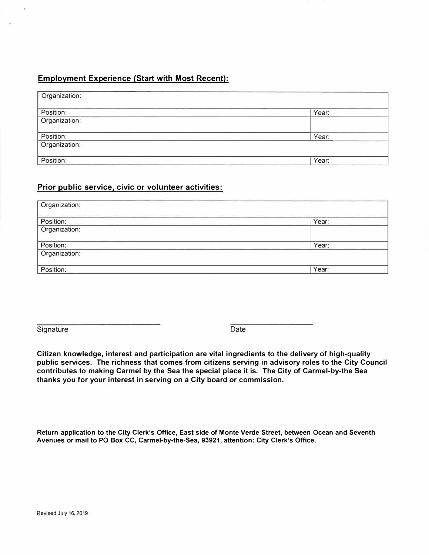## **Employment Experience (Start with Most Recent):**

| Organization: |       |
|---------------|-------|
| Position:     | Year: |
| Organization: |       |
| Position:     | Year: |
| Organization: |       |
| Position:     | Year: |

### **Prior public service, civic or volunteer activities:**

| Organization: |       |
|---------------|-------|
| Position:     | Year: |
| Organization: |       |
| Position:     | Year: |
| Organization: |       |
| Position:     | Year: |

Signature Date **Date** 

**Citizen knowledge, interest and participation are vital ingredients to the delivery of high-quality public services. The richness that comes from citizens serving in advisory roles to the City Council contributes to making Carmel by the Sea the special place it is. The City of Carmel-by-the Sea thanks you for your interest in serving on a City board or commission.** 

**Return application to the City Clerk's Office, East side of Monte Verde Street, between Ocean and Seventh Avenues or mail to PO Box CC, Carmel-by-the-Sea, 93921, attention: City Clerk's Office.**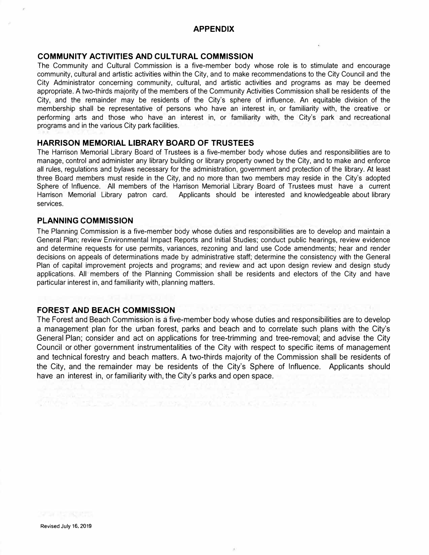#### **APPENDIX**

#### **COMMUNITY ACTIVITIES AND CULTURAL COMMISSION**

The Community and Cultural Commission is a five-member body whose role is to stimulate and encourage community, cultural and artistic activities within the City, and to make recommendations to the City Council and the City Administrator concerning community, cultural, and artistic activities and programs as may be deemed appropriate. A two-thirds majority of the members of the Community Activities Commission shall be residents of the City, and the remainder may be residents of the City's sphere of influence. An equitable division of the membership shall be representative of persons who have an interest in, or familiarity with, the creative or performing arts and those who have an interest in, or familiarity with, the City's park and recreational programs and in the various City park facilities.

#### **HARRISON MEMORIAL LIBRARY BOARD OF TRUSTEES**

The Harrison Memorial Library Board of Trustees is a five-member body whose duties and responsibilities are to manage, control and administer any library building or library property owned by the City, and to make and enforce all rules, regulations and bylaws necessary for the administration, government and protection of the library. At least three Board members must reside in the City, and no more than two members may reside in the City's adopted Sphere of Influence. All members of the Harrison Memorial Library Board of Trustees must have a current Harrison Memorial Library patron card. Applicants should be interested and knowledgeable about library services.

#### **PLANNING COMMISSION**

The Planning Commission is a five-member body whose duties and responsibilities are to develop and maintain a General Plan; review Environmental Impact Reports and Initial Studies; conduct public hearings, review evidence and determine requests for use permits, variances, rezoning and land use Code amendments; hear and render decisions on appeals of determinations made by administrative staff; determine the consistency with the General Plan of capital improvement projects and programs; and review and act upon design review and design study applications. All members of the Planning Commission shall be residents and electors of the City and have particular interest in, and familiarity with, planning matters.

#### **FOREST AND BEACH COMMISSION**

The Forest and Beach Commission is a five-member body whose duties and responsibilities are to develop a management plan for the urban forest, parks and beach and to correlate such plans with the City's General Plan; consider and act on applications for tree-trimming and tree-removal; and advise the City Council or other government instrumentalities of the City with respect to specific items of management and technical forestry and beach matters. A two-thirds majority of the Commission shall be residents of the City, and the remainder may be residents of the City's Sphere of Influence. Applicants should have an interest in, or familiarity with, the City's parks and open space.